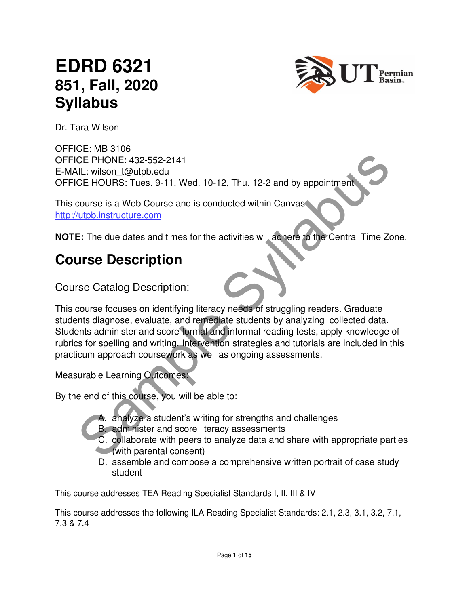# **EDRD 6321 851, Fall, 2020 Syllabus**



Dr. Tara Wilson

OFFICE: MB 3106 OFFICE PHONE: 432-552-2141 E-MAIL: wilson\_t@utpb.edu OFFICE HOURS: Tues. 9-11, Wed. 10-12, Thu. 12-2 and by appointment

This course is a Web Course and is conducted within Canvas http://utpb.instructure.com

**NOTE:** The due dates and times for the activities will adhere to the Central Time Zone.

## **Course Description**

Course Catalog Description:

CE PHONE: 432-552-2141<br>
NL: wilson I (@utpb edu<br>
CE PHONE: 432-552-2141<br>
CE HOURS: Tues. 9-11, Wed. 10-12, Thu. 12-2 and by appointment<br>
COLORS: Tues. 9-11, Wed. 10-12, Thu. 12-2 and by appointment<br>
Vubb instructure.com<br>
E This course focuses on identifying literacy needs of struggling readers. Graduate students diagnose, evaluate, and remediate students by analyzing collected data. Students administer and score formal and informal reading tests, apply knowledge of rubrics for spelling and writing. Intervention strategies and tutorials are included in this practicum approach coursework as well as ongoing assessments.

Measurable Learning Outcomes:

By the end of this course, you will be able to:

- A. analyze a student's writing for strengths and challenges
- B. administer and score literacy assessments
- C. collaborate with peers to analyze data and share with appropriate parties (with parental consent)
- D. assemble and compose a comprehensive written portrait of case study student

This course addresses TEA Reading Specialist Standards I, II, III & IV

This course addresses the following ILA Reading Specialist Standards: 2.1, 2.3, 3.1, 3.2, 7.1, 7.3 & 7.4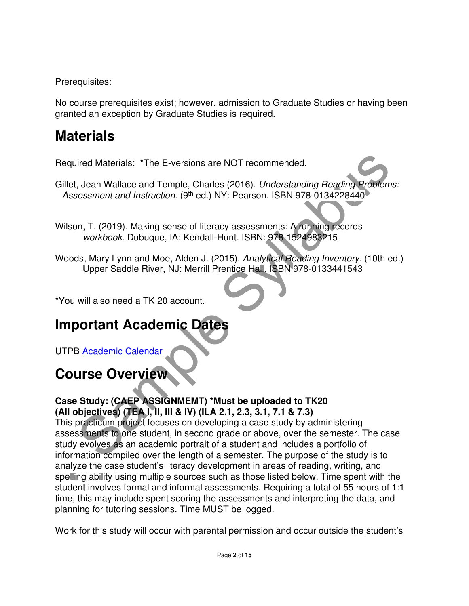Prerequisites:

No course prerequisites exist; however, admission to Graduate Studies or having been granted an exception by Graduate Studies is required.

## **Materials**

Required Materials: \*The E-versions are NOT recommended.

Gillet, Jean Wallace and Temple, Charles (2016). Understanding Reading Problems: Assessment and Instruction. (9<sup>th</sup> ed.) NY: Pearson. ISBN 978-0134228440

Wilson, T. (2019). Making sense of literacy assessments: A running records workbook. Dubuque, IA: Kendall-Hunt. ISBN: 978-1524983215

Woods, Mary Lynn and Moe, Alden J. (2015). Analytical Reading Inventory. (10th ed.) Upper Saddle River, NJ: Merrill Prentice Hall. ISBN 978-0133441543

\*You will also need a TK 20 account.

# **Important Academic Dates**

UTPB Academic Calendar

# **Course Overview**

## **Case Study: (CAEP ASSIGNMEMT) \*Must be uploaded to TK20 (All objectives) (TEA I, II, III & IV) (ILA 2.1, 2.3, 3.1, 7.1 & 7.3)**

ired Materials: "The E-versions are NOT recommended.<br>
1. Jean Wallace and Temple, Charles (2016). Understanding Reading Problems:<br>
1. The Cost of Temple Sylvabuse (9116). NY: Pearson. ISBN 978-0134228440<br>
1. The Cost of Ma This practicum project focuses on developing a case study by administering assessments to one student, in second grade or above, over the semester. The case study evolves as an academic portrait of a student and includes a portfolio of information compiled over the length of a semester. The purpose of the study is to analyze the case student's literacy development in areas of reading, writing, and spelling ability using multiple sources such as those listed below. Time spent with the student involves formal and informal assessments. Requiring a total of 55 hours of 1:1 time, this may include spent scoring the assessments and interpreting the data, and planning for tutoring sessions. Time MUST be logged.

Work for this study will occur with parental permission and occur outside the student's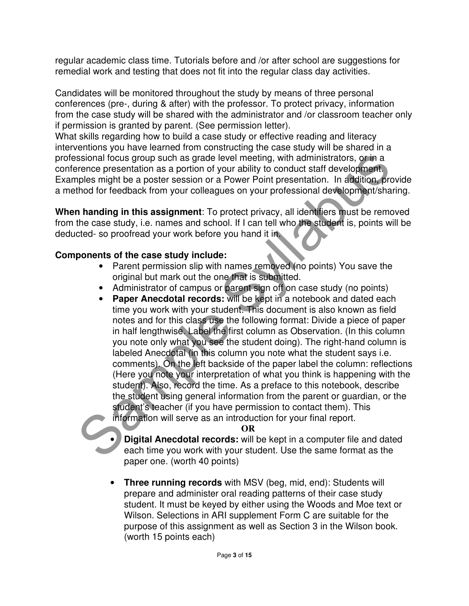regular academic class time. Tutorials before and /or after school are suggestions for remedial work and testing that does not fit into the regular class day activities.

Candidates will be monitored throughout the study by means of three personal conferences (pre-, during & after) with the professor. To protect privacy, information from the case study will be shared with the administrator and /or classroom teacher only if permission is granted by parent. (See permission letter).

What skills regarding how to build a case study or effective reading and literacy interventions you have learned from constructing the case study will be shared in a professional focus group such as grade level meeting, with administrators, or in a conference presentation as a portion of your ability to conduct staff development. Examples might be a poster session or a Power Point presentation. In addition, provide a method for feedback from your colleagues on your professional development/sharing.

**When handing in this assignment**: To protect privacy, all identifiers must be removed from the case study, i.e. names and school. If I can tell who the student is, points will be deducted- so proofread your work before you hand it in.

#### **Components of the case study include:**

- Parent permission slip with names removed (no points) You save the original but mark out the one that is submitted.
- Administrator of campus or parent sign off on case study (no points)
- sional focus group such as grade level meeting, with administrators, or in a<br>terence presentation as a portion of your ability to conduct staff development<br>phes might be a poster session or a Power Point presentation. In a • **Paper Anecdotal records:** will be kept in a notebook and dated each time you work with your student. This document is also known as field notes and for this class use the following format: Divide a piece of paper in half lengthwise. Label the first column as Observation. (In this column you note only what you see the student doing). The right-hand column is labeled Anecdotal (in this column you note what the student says i.e. comments). On the left backside of the paper label the column: reflections (Here you note your interpretation of what you think is happening with the student). Also, record the time. As a preface to this notebook, describe the student using general information from the parent or guardian, or the student's teacher (if you have permission to contact them). This information will serve as an introduction for your final report.

**OR** 

• **Digital Anecdotal records:** will be kept in a computer file and dated each time you work with your student. Use the same format as the paper one. (worth 40 points)

• **Three running records** with MSV (beg, mid, end): Students will prepare and administer oral reading patterns of their case study student. It must be keyed by either using the Woods and Moe text or Wilson. Selections in ARI supplement Form C are suitable for the purpose of this assignment as well as Section 3 in the Wilson book. (worth 15 points each)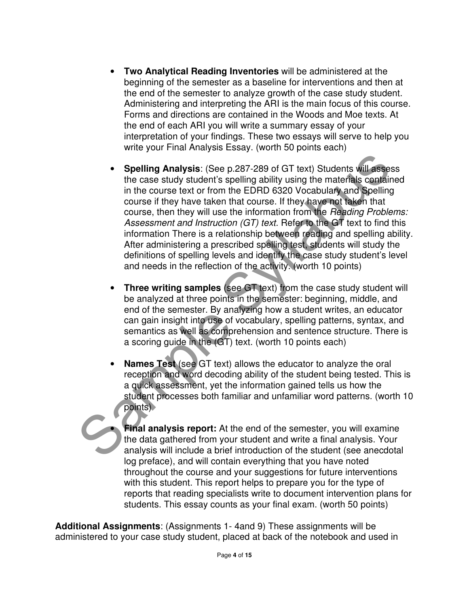- **Two Analytical Reading Inventories** will be administered at the beginning of the semester as a baseline for interventions and then at the end of the semester to analyze growth of the case study student. Administering and interpreting the ARI is the main focus of this course. Forms and directions are contained in the Woods and Moe texts. At the end of each ARI you will write a summary essay of your interpretation of your findings. These two essays will serve to help you write your Final Analysis Essay. (worth 50 points each)
- Spelling Analysis: (See p.287-289 of GT text) Students will assess<br>the case study student's spelling ability using the materials containe<br>in the course it to from the EDRD 6320 Vocabulary and Spelling<br>course if they have • **Spelling Analysis**: (See p.287-289 of GT text) Students will assess the case study student's spelling ability using the materials contained in the course text or from the EDRD 6320 Vocabulary and Spelling course if they have taken that course. If they have not taken that course, then they will use the information from the Reading Problems: Assessment and Instruction (GT) text. Refer to the GT text to find this information There is a relationship between reading and spelling ability. After administering a prescribed spelling test, students will study the definitions of spelling levels and identify the case study student's level and needs in the reflection of the activity. (worth 10 points)
	- **Three writing samples** (see GT text) from the case study student will be analyzed at three points in the semester: beginning, middle, and end of the semester. By analyzing how a student writes, an educator can gain insight into use of vocabulary, spelling patterns, syntax, and semantics as well as comprehension and sentence structure. There is a scoring guide in the (GT) text. (worth 10 points each)
	- **Names Test** (see GT text) allows the educator to analyze the oral reception and word decoding ability of the student being tested. This is a quick assessment, yet the information gained tells us how the student processes both familiar and unfamiliar word patterns. (worth 10 points)

• **Final analysis report:** At the end of the semester, you will examine the data gathered from your student and write a final analysis. Your analysis will include a brief introduction of the student (see anecdotal log preface), and will contain everything that you have noted throughout the course and your suggestions for future interventions with this student. This report helps to prepare you for the type of reports that reading specialists write to document intervention plans for students. This essay counts as your final exam. (worth 50 points)

**Additional Assignments**: (Assignments 1- 4and 9) These assignments will be administered to your case study student, placed at back of the notebook and used in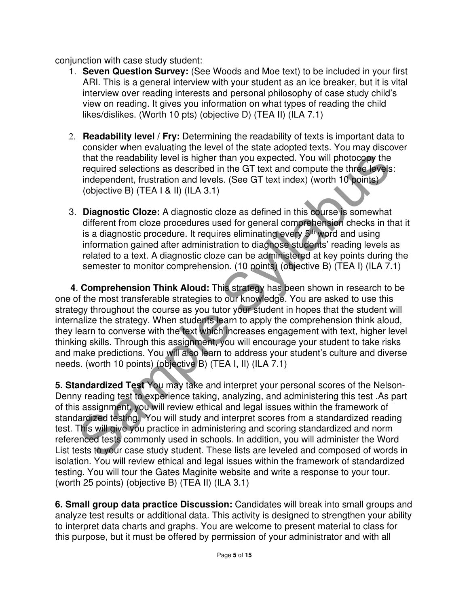conjunction with case study student:

- 1. **Seven Question Survey:** (See Woods and Moe text) to be included in your first ARI. This is a general interview with your student as an ice breaker, but it is vital interview over reading interests and personal philosophy of case study child's view on reading. It gives you information on what types of reading the child likes/dislikes. (Worth 10 pts) (objective D) (TEA II) (ILA 7.1)
- 2. **Readability level / Fry:** Determining the readability of texts is important data to consider when evaluating the level of the state adopted texts. You may discover that the readability level is higher than you expected. You will photocopy the required selections as described in the GT text and compute the three levels: independent, frustration and levels. (See GT text index) (worth 10 points) (objective B) (TEA I & II) (ILA 3.1)
- 3. **Diagnostic Cloze:** A diagnostic cloze as defined in this course is somewhat different from cloze procedures used for general comprehension checks in that it is a diagnostic procedure. It requires eliminating every 5<sup>th</sup> word and using information gained after administration to diagnose students' reading levels as related to a text. A diagnostic cloze can be administered at key points during the semester to monitor comprehension. (10 points) (objective B) (TEA I) (ILA 7.1)

that the readability level is higher than you expected. You will photocopy the<br>required selections as described in the GT lext and compute the three levels:<br>independent, frustration and levels. (See GT lext index) (worth 1 **4**. **Comprehension Think Aloud:** This strategy has been shown in research to be one of the most transferable strategies to our knowledge. You are asked to use this strategy throughout the course as you tutor your student in hopes that the student will internalize the strategy. When students learn to apply the comprehension think aloud, they learn to converse with the text which increases engagement with text, higher level thinking skills. Through this assignment, you will encourage your student to take risks and make predictions. You will also learn to address your student's culture and diverse needs. (worth 10 points) (objective B) (TEA I, II) (ILA 7.1)

**5. Standardized Test** You may take and interpret your personal scores of the Nelson-Denny reading test to experience taking, analyzing, and administering this test .As part of this assignment, you will review ethical and legal issues within the framework of standardized testing.You will study and interpret scores from a standardized reading test. This will give you practice in administering and scoring standardized and norm referenced tests commonly used in schools. In addition, you will administer the Word List tests to your case study student. These lists are leveled and composed of words in isolation. You will review ethical and legal issues within the framework of standardized testing. You will tour the Gates Maginite website and write a response to your tour. (worth 25 points) (objective B) (TEA II) (ILA 3.1)

**6. Small group data practice Discussion:** Candidates will break into small groups and analyze test results or additional data. This activity is designed to strengthen your ability to interpret data charts and graphs. You are welcome to present material to class for this purpose, but it must be offered by permission of your administrator and with all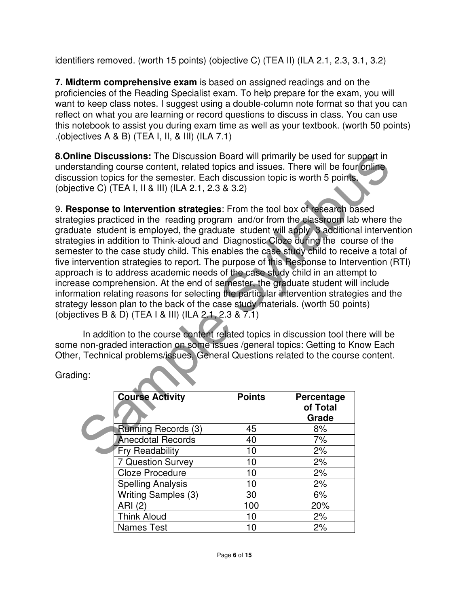identifiers removed. (worth 15 points) (objective C) (TEA II) (ILA 2.1, 2.3, 3.1, 3.2)

**7. Midterm comprehensive exam** is based on assigned readings and on the proficiencies of the Reading Specialist exam. To help prepare for the exam, you will want to keep class notes. I suggest using a double-column note format so that you can reflect on what you are learning or record questions to discuss in class. You can use this notebook to assist you during exam time as well as your textbook. (worth 50 points) .(objectives A & B) (TEA I, II, & III) (ILA 7.1)

**8.Online Discussions:** The Discussion Board will primarily be used for support in understanding course content, related topics and issues. There will be four online discussion topics for the semester. Each discussion topic is worth 5 points. (objective C) (TEA I, II & III) (ILA 2.1, 2.3 & 3.2)

the Discussions: The Discussion Board will primarily be used for support in<br>tratanding course content, related topics and issues. There will be four online<br>saion topics for the semester. Each discussion topic is worth 5 po 9. **Response to Intervention strategies**: From the tool box of research based strategies practiced in the reading program and/or from the classroom lab where the graduate student is employed, the graduate student will apply 3 additional intervention strategies in addition to Think-aloud and Diagnostic Cloze during the course of the semester to the case study child. This enables the case study child to receive a total of five intervention strategies to report. The purpose of this Response to Intervention (RTI) approach is to address academic needs of the case study child in an attempt to increase comprehension. At the end of semester, the graduate student will include information relating reasons for selecting the particular intervention strategies and the strategy lesson plan to the back of the case study materials. (worth 50 points) (objectives B & D) (TEA I & III) (ILA 2.1, 2.3 & 7.1)

In addition to the course content related topics in discussion tool there will be some non-graded interaction on some issues /general topics: Getting to Know Each Other, Technical problems/issues, General Questions related to the course content.

Grading:

| <b>Course Activity</b>     | <b>Points</b> | Percentage<br>of Total<br>Grade |
|----------------------------|---------------|---------------------------------|
| Running Records (3)        | 45            | 8%                              |
| <b>Anecdotal Records</b>   | 40            | 7%                              |
| <b>Fry Readability</b>     | 10            | 2%                              |
| <b>7 Question Survey</b>   | 10            | 2%                              |
| <b>Cloze Procedure</b>     | 10            | 2%                              |
| <b>Spelling Analysis</b>   | 10            | 2%                              |
| <b>Writing Samples (3)</b> | 30            | 6%                              |
| ARI                        | 100           | 20%                             |
| <b>Think Aloud</b>         | 10            | 2%                              |
| <b>Names Test</b>          | 10            | 2%                              |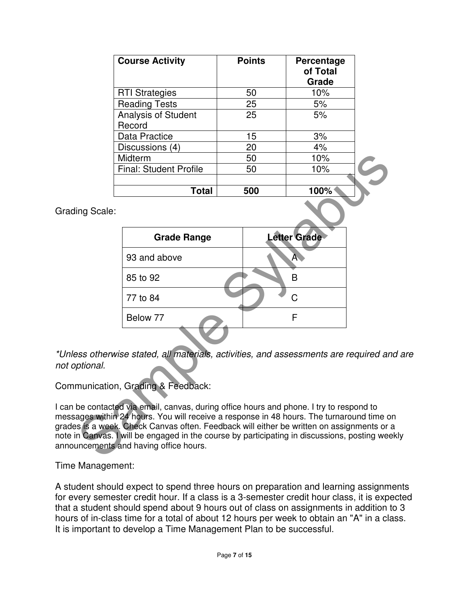| <b>Course Activity</b>               | <b>Points</b> | Percentage<br>of Total<br>Grade |
|--------------------------------------|---------------|---------------------------------|
| <b>RTI Strategies</b>                | 50            | 10%                             |
| <b>Reading Tests</b>                 | 25            | 5%                              |
| <b>Analysis of Student</b><br>Record | 25            | 5%                              |
| Data Practice                        | 15            | 3%                              |
| Discussions (4)                      | 20            | 4%                              |
| Midterm                              | 50            | 10%                             |
| <b>Final: Student Profile</b>        | 50            | 10%                             |
|                                      |               |                                 |
| Total                                | 500           | 100%                            |

Grading Scale:

|            | Midterm                                                                                                                                                                                                                                                                                                                                                                                                | 50  | 10%                 |  |
|------------|--------------------------------------------------------------------------------------------------------------------------------------------------------------------------------------------------------------------------------------------------------------------------------------------------------------------------------------------------------------------------------------------------------|-----|---------------------|--|
|            | <b>Final: Student Profile</b>                                                                                                                                                                                                                                                                                                                                                                          | 50  | 10%                 |  |
|            |                                                                                                                                                                                                                                                                                                                                                                                                        |     |                     |  |
|            | <b>Total</b>                                                                                                                                                                                                                                                                                                                                                                                           | 500 | 100%                |  |
| ing Scale: |                                                                                                                                                                                                                                                                                                                                                                                                        |     |                     |  |
|            | <b>Grade Range</b>                                                                                                                                                                                                                                                                                                                                                                                     |     | <b>Letter Grade</b> |  |
|            | 93 and above                                                                                                                                                                                                                                                                                                                                                                                           |     | A                   |  |
|            | 85 to 92                                                                                                                                                                                                                                                                                                                                                                                               |     | B                   |  |
|            | 77 to 84                                                                                                                                                                                                                                                                                                                                                                                               |     | Ć                   |  |
|            | Below 77                                                                                                                                                                                                                                                                                                                                                                                               |     | F                   |  |
|            |                                                                                                                                                                                                                                                                                                                                                                                                        |     |                     |  |
| ptional.   | ess otherwise stated, all materials, activities, and assessments are required and i                                                                                                                                                                                                                                                                                                                    |     |                     |  |
|            | munication, Grading & Feedback:                                                                                                                                                                                                                                                                                                                                                                        |     |                     |  |
|            | be contacted via email, canvas, during office hours and phone. I try to respond to<br>ages within 24 hours. You will receive a response in 48 hours. The turnaround time on<br>s is a week. Check Canvas often. Feedback will either be written on assignments or a<br>n Canvas. I will be engaged in the course by participating in discussions, posting weekly<br>uncements and having office hours. |     |                     |  |

\*Unless otherwise stated, all materials, activities, and assessments are required and are not optional.

Communication, Grading & Feedback:

I can be contacted via email, canvas, during office hours and phone. I try to respond to messages within 24 hours. You will receive a response in 48 hours. The turnaround time on grades is a week. Check Canvas often. Feedback will either be written on assignments or a note in Canvas. I will be engaged in the course by participating in discussions, posting weekly announcements and having office hours.

Time Management:

A student should expect to spend three hours on preparation and learning assignments for every semester credit hour. If a class is a 3-semester credit hour class, it is expected that a student should spend about 9 hours out of class on assignments in addition to 3 hours of in-class time for a total of about 12 hours per week to obtain an "A" in a class. It is important to develop a Time Management Plan to be successful.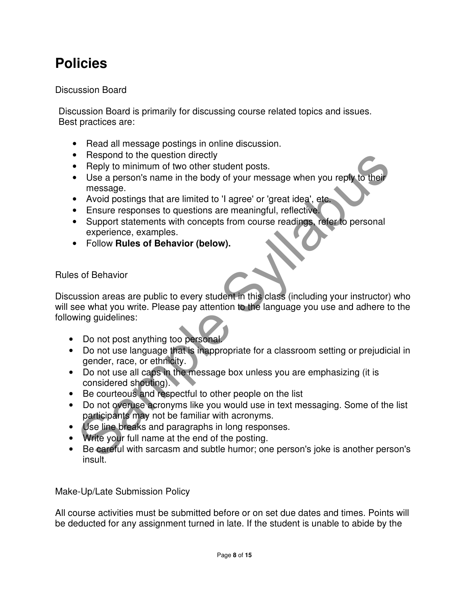## **Policies**

#### Discussion Board

Discussion Board is primarily for discussing course related topics and issues. Best practices are:

- Read all message postings in online discussion.
- Respond to the question directly
- Reply to minimum of two other student posts.
- Use a person's name in the body of your message when you reply to their message.
- Avoid postings that are limited to 'I agree' or 'great idea', etc.
- Ensure responses to questions are meaningful, reflective.
- Support statements with concepts from course readings, refer to personal experience, examples.
- Follow **Rules of Behavior (below).**

## Rules of Behavior

Reply to minimum of two other student posts.<br>
Reply to minimum of two other student posts.<br>
Use a person's name in the body of your message when you reply to their<br>
message.<br>
Avoid postings that are limited to 'I agree' or Discussion areas are public to every student in this class (including your instructor) who will see what you write. Please pay attention to the language you use and adhere to the following guidelines:

- Do not post anything too personal
- Do not use language that is inappropriate for a classroom setting or prejudicial in gender, race, or ethnicity.
- Do not use all caps in the message box unless you are emphasizing (it is considered shouting).
- Be courteous and respectful to other people on the list
- Do not overuse acronyms like you would use in text messaging. Some of the list participants may not be familiar with acronyms.
- Use line breaks and paragraphs in long responses.
- Write your full name at the end of the posting.
- Be careful with sarcasm and subtle humor; one person's joke is another person's insult.

Make-Up/Late Submission Policy

All course activities must be submitted before or on set due dates and times. Points will be deducted for any assignment turned in late. If the student is unable to abide by the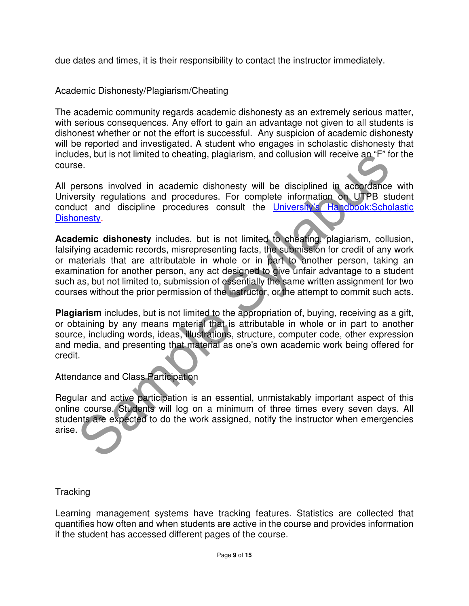due dates and times, it is their responsibility to contact the instructor immediately.

#### Academic Dishonesty/Plagiarism/Cheating

The academic community regards academic dishonesty as an extremely serious matter, with serious consequences. Any effort to gain an advantage not given to all students is dishonest whether or not the effort is successful. Any suspicion of academic dishonesty will be reported and investigated. A student who engages in scholastic dishonesty that includes, but is not limited to cheating, plagiarism, and collusion will receive an "F" for the course.

All persons involved in academic dishonesty will be disciplined in accordance with University regulations and procedures. For complete information on UTPB student conduct and discipline procedures consult the University's Handbook:Scholastic Dishonesty.

Sheet Syllabustan and contention and contention and content and accordance are sensors involved in academic dishonesty will be disciplined in accordance versity regulations and procedures. For complete information on UTPB **Academic dishonesty** includes, but is not limited to cheating, plagiarism, collusion, falsifying academic records, misrepresenting facts, the submission for credit of any work or materials that are attributable in whole or in part to another person, taking an examination for another person, any act designed to give unfair advantage to a student such as, but not limited to, submission of essentially the same written assignment for two courses without the prior permission of the instructor, or the attempt to commit such acts.

**Plagiarism** includes, but is not limited to the appropriation of, buying, receiving as a gift, or obtaining by any means material that is attributable in whole or in part to another source, including words, ideas, illustrations, structure, computer code, other expression and media, and presenting that material as one's own academic work being offered for credit.

Attendance and Class Participation

Regular and active participation is an essential, unmistakably important aspect of this online course. Students will log on a minimum of three times every seven days. All students are expected to do the work assigned, notify the instructor when emergencies arise.

#### **Tracking**

Learning management systems have tracking features. Statistics are collected that quantifies how often and when students are active in the course and provides information if the student has accessed different pages of the course.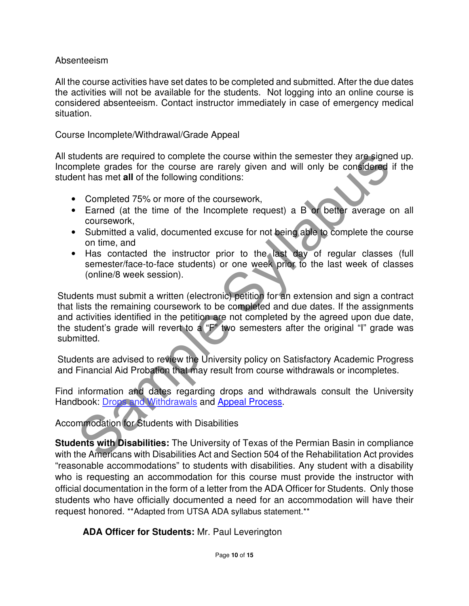#### Absenteeism

All the course activities have set dates to be completed and submitted. After the due dates the activities will not be available for the students. Not logging into an online course is considered absenteeism. Contact instructor immediately in case of emergency medical situation.

#### Course Incomplete/Withdrawal/Grade Appeal

All students are required to complete the course within the semester they are signed up. Incomplete grades for the course are rarely given and will only be considered if the student has met **all** of the following conditions:

- Completed 75% or more of the coursework,
- Earned (at the time of the Incomplete request) a B or better average on all coursework,
- Submitted a valid, documented excuse for not being able to complete the course on time, and
- Has contacted the instructor prior to the last day of regular classes (full semester/face-to-face students) or one week prior to the last week of classes (online/8 week session).

udents are required to complete the course are relay are signed<br>uplete grades for the course are rarely given and will only be considered if<br>supplete grades for the course are rarely given and will only be considered if<br>th Students must submit a written (electronic) petition for an extension and sign a contract that lists the remaining coursework to be completed and due dates. If the assignments and activities identified in the petition are not completed by the agreed upon due date, the student's grade will revert to a "F" two semesters after the original "I" grade was submitted.

Students are advised to review the University policy on Satisfactory Academic Progress and Financial Aid Probation that may result from course withdrawals or incompletes.

Find information and dates regarding drops and withdrawals consult the University Handbook: Drops and Withdrawals and Appeal Process.

Accommodation for Students with Disabilities

**Students with Disabilities:** The University of Texas of the Permian Basin in compliance with the Americans with Disabilities Act and Section 504 of the Rehabilitation Act provides "reasonable accommodations" to students with disabilities. Any student with a disability who is requesting an accommodation for this course must provide the instructor with official documentation in the form of a letter from the ADA Officer for Students. Only those students who have officially documented a need for an accommodation will have their request honored. \*\*Adapted from UTSA ADA syllabus statement.\*\*

## **ADA Officer for Students:** Mr. Paul Leverington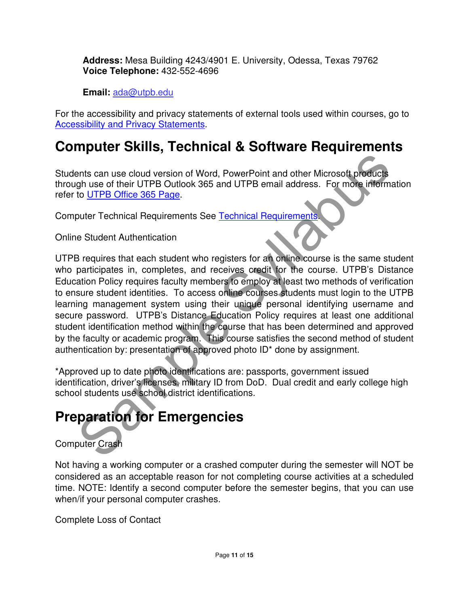**Address:** Mesa Building 4243/4901 E. University, Odessa, Texas 79762 **Voice Telephone:** 432-552-4696

**Email:** ada@utpb.edu

For the accessibility and privacy statements of external tools used within courses, go to Accessibility and Privacy Statements.

## **Computer Skills, Technical & Software Requirements**

Students can use cloud version of Word, PowerPoint and other Microsoft products through use of their UTPB Outlook 365 and UTPB email address. For more information refer to UTPB Office 365 Page.

Computer Technical Requirements See Technical Requirements.

Online Student Authentication

ents can use cloud version of Word, PowerPoint and other Microsoft products<br>gh use of their UTPB Outlook 365 and UTPB email address. For more information<br>to <u>UTPB Office 365 Page</u>.<br>Note their UTPB Outlook 365 and UTPB emai UTPB requires that each student who registers for an online course is the same student who participates in, completes, and receives credit for the course. UTPB's Distance Education Policy requires faculty members to employ at least two methods of verification to ensure student identities. To access online courses students must login to the UTPB learning management system using their unique personal identifying username and secure password. UTPB's Distance Education Policy requires at least one additional student identification method within the course that has been determined and approved by the faculty or academic program. This course satisfies the second method of student authentication by: presentation of approved photo ID\* done by assignment.

\*Approved up to date photo identifications are: passports, government issued identification, driver's licenses, military ID from DoD. Dual credit and early college high school students use school district identifications.

# **Preparation for Emergencies**

## Computer Crash

Not having a working computer or a crashed computer during the semester will NOT be considered as an acceptable reason for not completing course activities at a scheduled time. NOTE: Identify a second computer before the semester begins, that you can use when/if your personal computer crashes.

Complete Loss of Contact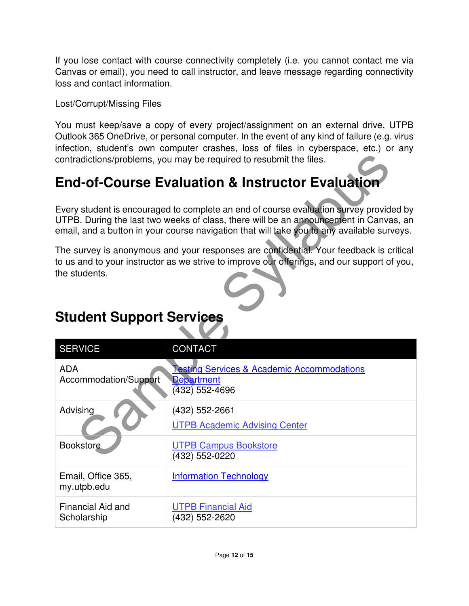If you lose contact with course connectivity completely (i.e. you cannot contact me via Canvas or email), you need to call instructor, and leave message regarding connectivity loss and contact information.

Lost/Corrupt/Missing Files

You must keep/save a copy of every project/assignment on an external drive, UTPB Outlook 365 OneDrive, or personal computer. In the event of any kind of failure (e.g. virus infection, student's own computer crashes, loss of files in cyberspace, etc.) or any contradictions/problems, you may be required to resubmit the files.

# **End-of-Course Evaluation & Instructor Evaluation**

Every student is encouraged to complete an end of course evaluation survey provided by UTPB. During the last two weeks of class, there will be an announcement in Canvas, an email, and a button in your course navigation that will take you to any available surveys.

The survey is anonymous and your responses are confidential. Your feedback is critical to us and to your instructor as we strive to improve our offerings, and our support of you, the students.

# example last two weeks of classing<br>
Sample State of the Sample State of the Sample State of the Sample State of the Sample State of the Sample Sample State of the Sample State with the Sample State with the Carrier of the SERVICE CONTACT ADA Accommodation/Support **Testing Services & Academic Accommodations Department** (432) 552-4696 Advising (432) 552-2661 UTPB Academic Advising Center Bookstore UTPB Campus Bookstore (432) 552-0220 Email, Office 365, my.utpb.edu Information Technology Financial Aid and **Scholarship** UTPB Financial Aid (432) 552-2620

## **Student Support Services**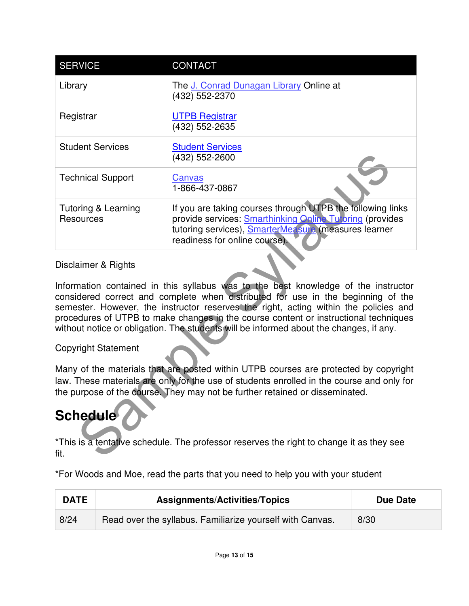| <b>SERVICE</b>                                                                                                                                                                                                                                                                                                                                                                                                                                                          | <b>CONTACT</b>                                                                                                                                                                                                  |  |
|-------------------------------------------------------------------------------------------------------------------------------------------------------------------------------------------------------------------------------------------------------------------------------------------------------------------------------------------------------------------------------------------------------------------------------------------------------------------------|-----------------------------------------------------------------------------------------------------------------------------------------------------------------------------------------------------------------|--|
| Library                                                                                                                                                                                                                                                                                                                                                                                                                                                                 | The J. Conrad Dunagan Library Online at<br>(432) 552-2370                                                                                                                                                       |  |
| Registrar                                                                                                                                                                                                                                                                                                                                                                                                                                                               | <b>UTPB Registrar</b><br>(432) 552-2635                                                                                                                                                                         |  |
| <b>Student Services</b>                                                                                                                                                                                                                                                                                                                                                                                                                                                 | <b>Student Services</b><br>(432) 552-2600                                                                                                                                                                       |  |
| <b>Technical Support</b>                                                                                                                                                                                                                                                                                                                                                                                                                                                | <b>Canvas</b><br>1-866-437-0867                                                                                                                                                                                 |  |
| <b>Tutoring &amp; Learning</b><br><b>Resources</b>                                                                                                                                                                                                                                                                                                                                                                                                                      | If you are taking courses through UTPB the following links<br>provide services: Smarthinking Online Tutoring (provides<br>tutoring services), SmarterMeasure (measures learner<br>readiness for online course). |  |
| Disclaimer & Rights<br>Information contained in this syllabus was to the best knowledge of the instructor<br>considered correct and complete when distributed for use in the beginning of the<br>semester. However, the instructor reserves the right, acting within the policies and<br>procedures of UTPB to make changes in the course content or instructional techniques<br>without notice or obligation. The students will be informed about the changes, if any. |                                                                                                                                                                                                                 |  |
| <b>Copyright Statement</b>                                                                                                                                                                                                                                                                                                                                                                                                                                              |                                                                                                                                                                                                                 |  |
| Many of the materials that are posted within UTPB courses are protected by copyright<br>law. These materials are only for the use of students enrolled in the course and only for<br>the purpose of the course. They may not be further retained or disseminated.                                                                                                                                                                                                       |                                                                                                                                                                                                                 |  |
| <b>Schedule</b>                                                                                                                                                                                                                                                                                                                                                                                                                                                         |                                                                                                                                                                                                                 |  |
| *This is a tentative schedule. The professor reserves the right to change it as they see<br>fit.                                                                                                                                                                                                                                                                                                                                                                        |                                                                                                                                                                                                                 |  |

## Disclaimer & Rights

## Copyright Statement

# **Schedule**

\*For Woods and Moe, read the parts that you need to help you with your student

| <b>DATE</b> | <b>Assignments/Activities/Topics</b>                      | <b>Due Date</b> |
|-------------|-----------------------------------------------------------|-----------------|
| 8/24        | Read over the syllabus. Familiarize yourself with Canvas. | 8/30            |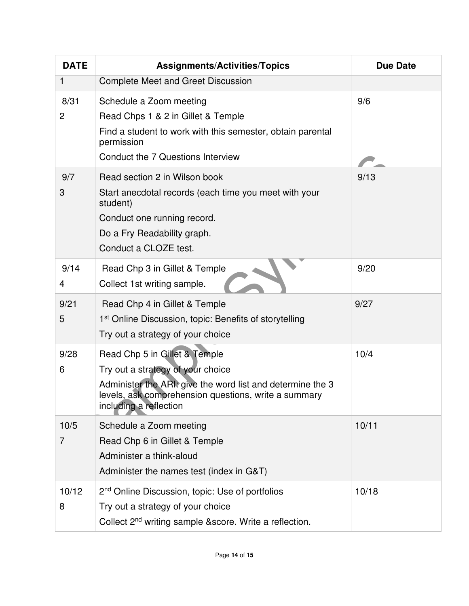| <b>DATE</b> | <b>Assignments/Activities/Topics</b>                                                                                                                                                                               | <b>Due Date</b> |
|-------------|--------------------------------------------------------------------------------------------------------------------------------------------------------------------------------------------------------------------|-----------------|
| 1           | Complete Meet and Greet Discussion                                                                                                                                                                                 |                 |
| 8/31<br>2   | Schedule a Zoom meeting<br>Read Chps 1 & 2 in Gillet & Temple<br>Find a student to work with this semester, obtain parental<br>permission<br>Conduct the 7 Questions Interview                                     | 9/6             |
| 9/7<br>3    | Read section 2 in Wilson book<br>Start anecdotal records (each time you meet with your<br>student)<br>Conduct one running record.<br>Do a Fry Readability graph.<br>Conduct a CLOZE test.                          | 9/13            |
| 9/14<br>4   | Read Chp 3 in Gillet & Temple<br>Collect 1st writing sample.                                                                                                                                                       | 9/20            |
| 9/21<br>5   | Read Chp 4 in Gillet & Temple<br>1 <sup>st</sup> Online Discussion, topic: Benefits of storytelling<br>Try out a strategy of your choice                                                                           | 9/27            |
| 9/28<br>6   | Read Chp 5 in Gillet & Temple<br>Try out a strategy of your choice<br>Administer the ARI: give the word list and determine the 3<br>levels, ask comprehension questions, write a summary<br>including a reflection | 10/4            |
| 10/5<br>7   | Schedule a Zoom meeting<br>Read Chp 6 in Gillet & Temple<br>Administer a think-aloud<br>Administer the names test (index in G&T)                                                                                   | 10/11           |
| 10/12<br>8  | 2 <sup>nd</sup> Online Discussion, topic: Use of portfolios<br>Try out a strategy of your choice<br>Collect 2 <sup>nd</sup> writing sample & score. Write a reflection.                                            | 10/18           |